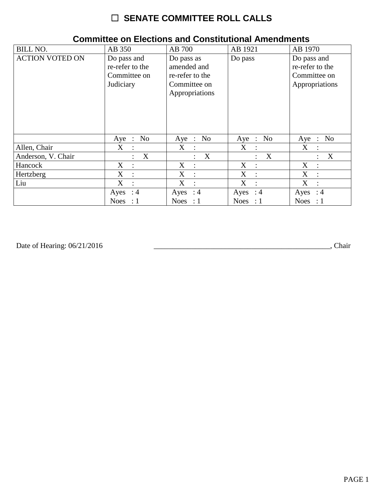# ☐ **SENATE COMMITTEE ROLL CALLS**

| <b>BILL NO.</b>        | AB 350                                                      | AB 700                                                                         | AB 1921                   | AB 1970                                                          |
|------------------------|-------------------------------------------------------------|--------------------------------------------------------------------------------|---------------------------|------------------------------------------------------------------|
| <b>ACTION VOTED ON</b> | Do pass and<br>re-refer to the<br>Committee on<br>Judiciary | Do pass as<br>amended and<br>re-refer to the<br>Committee on<br>Appropriations | Do pass                   | Do pass and<br>re-refer to the<br>Committee on<br>Appropriations |
|                        | No<br>$Aye$ :                                               | Aye : No                                                                       | Aye : No                  | Aye : No                                                         |
| Allen, Chair           | X                                                           | X                                                                              | X                         | X                                                                |
|                        | $\ddot{\cdot}$                                              | $\ddot{\cdot}$                                                                 | $\ddot{\cdot}$            | $\ddot{\cdot}$                                                   |
| Anderson, V. Chair     | X                                                           | X                                                                              | X                         | X                                                                |
|                        | $\ddot{\cdot}$                                              | ÷                                                                              | $\mathbb{R}^{\mathbb{Z}}$ | $\ddot{\cdot}$                                                   |
| Hancock                | $X_{\mathcal{L}}$                                           | $X_{\mathcal{I}}$                                                              | X                         | X                                                                |
|                        | $\ddot{\cdot}$                                              | $\ddot{\phantom{a}}$                                                           | $\ddot{\phantom{a}}$      | $\ddot{\cdot}$                                                   |
| Hertzberg              | X                                                           | X                                                                              | X                         | X                                                                |
|                        | $\ddot{\cdot}$                                              | $\ddot{\cdot}$                                                                 | $\cdot$ :                 | $\ddot{\phantom{a}}$                                             |
| Liu                    | X                                                           | X                                                                              | X                         | X                                                                |
|                        | $\therefore$                                                | $\sim$ 1.                                                                      | $\mathbb{R}^2$            | $\ddot{\phantom{0}}$                                             |
|                        | Ayes : $4$                                                  | Ayes : $4$                                                                     | Ayes : $4$                | Ayes : $4$                                                       |
|                        | Noes : $1$                                                  | Noes : $1$                                                                     | Noes : $1$                | Noes : $1$                                                       |

### **Committee on Elections and Constitutional Amendments**

Date of Hearing: 06/21/2016 \_\_\_\_\_\_\_\_\_\_\_\_\_\_\_\_\_\_\_\_\_\_\_\_\_\_\_\_\_\_\_\_\_\_\_\_\_\_\_\_\_\_\_\_\_\_\_, Chair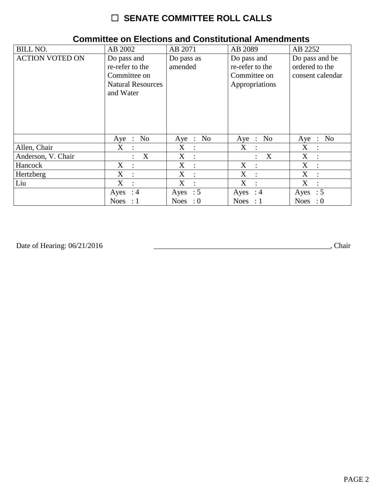# ☐ **SENATE COMMITTEE ROLL CALLS**

| <b>BILL NO.</b>        | AB 2002                                                                                 | AB 2071                                   | AB 2089                                                          | AB 2252                                              |
|------------------------|-----------------------------------------------------------------------------------------|-------------------------------------------|------------------------------------------------------------------|------------------------------------------------------|
| <b>ACTION VOTED ON</b> | Do pass and<br>re-refer to the<br>Committee on<br><b>Natural Resources</b><br>and Water | Do pass as<br>amended                     | Do pass and<br>re-refer to the<br>Committee on<br>Appropriations | Do pass and be<br>ordered to the<br>consent calendar |
|                        | No<br>$Aye$ :                                                                           | Aye : No                                  | Aye : No                                                         | Aye : No                                             |
| Allen, Chair           | $X_{\mathcal{C}}$<br>$\ddot{\cdot}$                                                     | X<br>$\ddot{\cdot}$                       | X<br>$\ddot{\cdot}$                                              | X<br>$\ddot{\cdot}$                                  |
| Anderson, V. Chair     | X<br>$\ddot{\cdot}$                                                                     | X<br>$\ddot{\phantom{a}}$                 | $\boldsymbol{X}$<br>$\ddot{\phantom{0}}$                         | X<br>$\ddot{\cdot}$                                  |
| Hancock                | $X_{\mathcal{E}}$<br>$\ddot{\cdot}$                                                     | X<br>$\ddot{\cdot}$                       | X<br>$\ddot{\phantom{a}}$                                        | X<br>$\ddot{\cdot}$                                  |
| Hertzberg              | X<br>$\ddot{\cdot}$                                                                     | $X_{\mathcal{C}}$<br>$\ddot{\phantom{a}}$ | X<br>$\ddot{\phantom{a}}$                                        | X<br>$\ddot{\cdot}$                                  |
| Liu                    | X                                                                                       | $X_{\mathcal{C}}$<br>$\sim$ 1             | X<br>$\cdot$ :                                                   | X<br>$\ddot{\cdot}$                                  |
|                        | Ayes : $4$                                                                              | Ayes : $5$                                | Ayes : $4$                                                       | Ayes : $5$                                           |
|                        | <b>Noes</b><br>-: 1                                                                     | Noes : $0$                                | Noes : $1$                                                       | Noes : $0$                                           |

### **Committee on Elections and Constitutional Amendments**

Date of Hearing: 06/21/2016 \_\_\_\_\_\_\_\_\_\_\_\_\_\_\_\_\_\_\_\_\_\_\_\_\_\_\_\_\_\_\_\_\_\_\_\_\_\_\_\_\_\_\_\_\_\_\_, Chair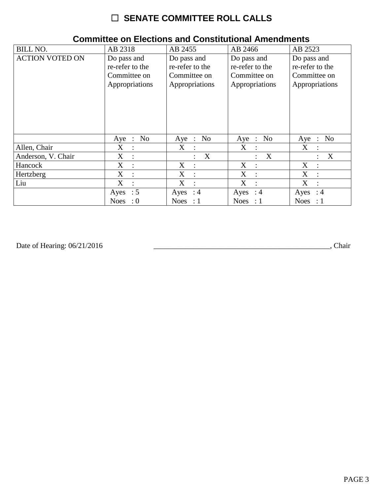# $\Box$  SENATE COMMITTEE ROLL CALLS

| <b>BILL NO.</b>        | AB 2318                   | AB 2455            | AB 2466              | AB 2523                     |
|------------------------|---------------------------|--------------------|----------------------|-----------------------------|
| <b>ACTION VOTED ON</b> | Do pass and               | Do pass and        | Do pass and          | Do pass and                 |
|                        | re-refer to the           | re-refer to the    | re-refer to the      | re-refer to the             |
|                        | Committee on              | Committee on       | Committee on         | Committee on                |
|                        | Appropriations            | Appropriations     | Appropriations       | Appropriations              |
|                        | No<br>Aye<br>$\therefore$ | Aye : No           | Aye : No             | No<br>Aye<br>$\mathbb{R}^2$ |
| Allen, Chair           | X                         | X                  | X                    | X                           |
|                        | $\ddot{\cdot}$            | $\ddot{\cdot}$     | $\ddot{\cdot}$       | $\ddot{\cdot}$              |
| Anderson, V. Chair     | X                         | X                  | X                    | X                           |
|                        | $\ddot{\cdot}$            | $\ddot{\cdot}$     | $\ddot{\phantom{0}}$ | $\ddot{\cdot}$              |
| Hancock                | X                         | X                  | X                    | X                           |
|                        | $\ddot{\phantom{a}}$      | $\ddot{\cdot}$     | $\mathbb{I}$         | $\ddot{\phantom{a}}$        |
| Hertzberg              | X                         | X                  | X                    | X                           |
|                        | $\ddot{\cdot}$            | $\ddot{\cdot}$     | $\cdot$ :            | $\ddot{\cdot}$              |
| Liu                    | X                         | X                  | X                    | X                           |
|                        | $\ddot{\cdot}$            | $\dot{\mathbb{I}}$ | $\cdot$ :            | $\ddot{\phantom{a}}$        |
|                        | Ayes : $5$                | Ayes : $4$         | Ayes : $4$           | Ayes : $4$                  |
|                        | <b>Noes</b><br>$\cdot 0$  | Noes : $1$         | Noes : $1$           | Noes : $1$                  |

#### **Committee on Elections and Constitutional Amendments**

Date of Hearing: 06/21/2016

Chair (Chair